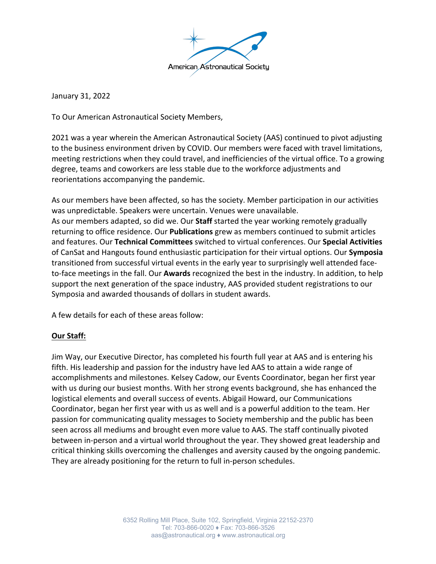

January 31, 2022

To Our American Astronautical Society Members,

2021 was a year wherein the American Astronautical Society (AAS) continued to pivot adjusting to the business environment driven by COVID. Our members were faced with travel limitations, meeting restrictions when they could travel, and inefficiencies of the virtual office. To a growing degree, teams and coworkers are less stable due to the workforce adjustments and reorientations accompanying the pandemic.

As our members have been affected, so has the society. Member participation in our activities was unpredictable. Speakers were uncertain. Venues were unavailable. As our members adapted, so did we. Our **Staff** started the year working remotely gradually returning to office residence. Our **Publications** grew as members continued to submit articles and features. Our **Technical Committees** switched to virtual conferences. Our **Special Activities** of CanSat and Hangouts found enthusiastic participation for their virtual options. Our **Symposia** transitioned from successful virtual events in the early year to surprisingly well attended faceto-face meetings in the fall. Our **Awards** recognized the best in the industry. In addition, to help support the next generation of the space industry, AAS provided student registrations to our Symposia and awarded thousands of dollars in student awards.

A few details for each of these areas follow:

# **Our Staff:**

Jim Way, our Executive Director, has completed his fourth full year at AAS and is entering his fifth. His leadership and passion for the industry have led AAS to attain a wide range of accomplishments and milestones. Kelsey Cadow, our Events Coordinator, began her first year with us during our busiest months. With her strong events background, she has enhanced the logistical elements and overall success of events. Abigail Howard, our Communications Coordinator, began her first year with us as well and is a powerful addition to the team. Her passion for communicating quality messages to Society membership and the public has been seen across all mediums and brought even more value to AAS. The staff continually pivoted between in-person and a virtual world throughout the year. They showed great leadership and critical thinking skills overcoming the challenges and aversity caused by the ongoing pandemic. They are already positioning for the return to full in-person schedules.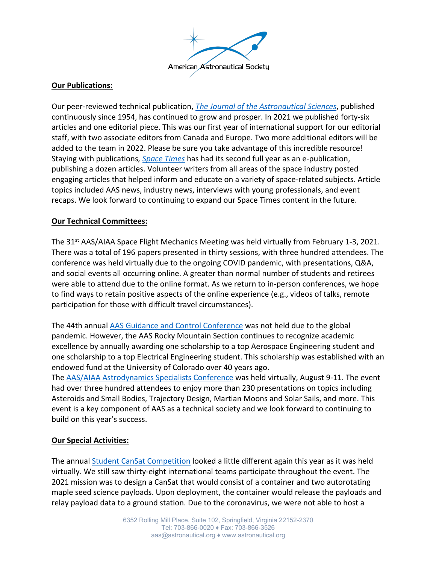

### **Our Publications:**

Our peer-reviewed technical publication, *The Journal of the Astronautical Sciences*, published continuously since 1954, has continued to grow and prosper. In 2021 we published forty-six articles and one editorial piece. This was our first year of international support for our editorial staff, with two associate editors from Canada and Europe. Two more additional editors will be added to the team in 2022. Please be sure you take advantage of this incredible resource! Staying with publications*, Space Times* has had its second full year as an e-publication, publishing a dozen articles. Volunteer writers from all areas of the space industry posted engaging articles that helped inform and educate on a variety of space-related subjects. Article topics included AAS news, industry news, interviews with young professionals, and event recaps. We look forward to continuing to expand our Space Times content in the future.

### **Our Technical Committees:**

The 31st AAS/AIAA Space Flight Mechanics Meeting was held virtually from February 1-3, 2021. There was a total of 196 papers presented in thirty sessions, with three hundred attendees. The conference was held virtually due to the ongoing COVID pandemic, with presentations, Q&A, and social events all occurring online. A greater than normal number of students and retirees were able to attend due to the online format. As we return to in-person conferences, we hope to find ways to retain positive aspects of the online experience (e.g., videos of talks, remote participation for those with difficult travel circumstances).

The 44th annual AAS Guidance and Control Conference was not held due to the global pandemic. However, the AAS Rocky Mountain Section continues to recognize academic excellence by annually awarding one scholarship to a top Aerospace Engineering student and one scholarship to a top Electrical Engineering student. This scholarship was established with an endowed fund at the University of Colorado over 40 years ago. The AAS/AIAA Astrodynamics Specialists Conference was held virtually, August 9-11. The event had over three hundred attendees to enjoy more than 230 presentations on topics including Asteroids and Small Bodies, Trajectory Design, Martian Moons and Solar Sails, and more. This event is a key component of AAS as a technical society and we look forward to continuing to build on this year's success.

#### **Our Special Activities:**

The annual Student CanSat Competition looked a little different again this year as it was held virtually. We still saw thirty-eight international teams participate throughout the event. The 2021 mission was to design a CanSat that would consist of a container and two autorotating maple seed science payloads. Upon deployment, the container would release the payloads and relay payload data to a ground station. Due to the coronavirus, we were not able to host a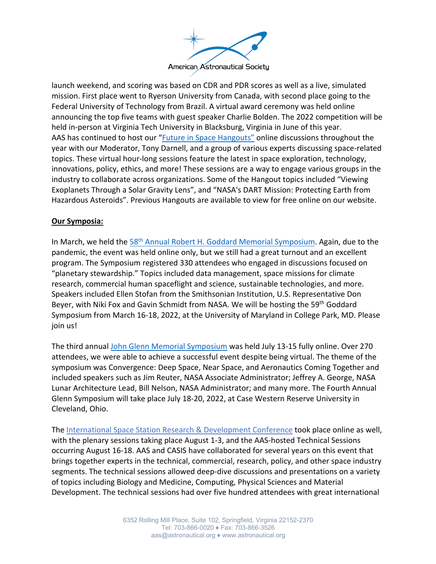

launch weekend, and scoring was based on CDR and PDR scores as well as a live, simulated mission. First place went to Ryerson University from Canada, with second place going to the Federal University of Technology from Brazil. A virtual award ceremony was held online announcing the top five teams with guest speaker Charlie Bolden. The 2022 competition will be held in-person at Virginia Tech University in Blacksburg, Virginia in June of this year. AAS has continued to host our "Future in Space Hangouts" online discussions throughout the year with our Moderator, Tony Darnell, and a group of various experts discussing space-related topics. These virtual hour-long sessions feature the latest in space exploration, technology, innovations, policy, ethics, and more! These sessions are a way to engage various groups in the industry to collaborate across organizations. Some of the Hangout topics included "Viewing Exoplanets Through a Solar Gravity Lens", and "NASA's DART Mission: Protecting Earth from Hazardous Asteroids". Previous Hangouts are available to view for free online on our website.

### **Our Symposia:**

In March, we held the 58<sup>th</sup> Annual Robert H. Goddard Memorial Symposium. Again, due to the pandemic, the event was held online only, but we still had a great turnout and an excellent program. The Symposium registered 330 attendees who engaged in discussions focused on "planetary stewardship." Topics included data management, space missions for climate research, commercial human spaceflight and science, sustainable technologies, and more. Speakers included Ellen Stofan from the Smithsonian Institution, U.S. Representative Don Beyer, with Niki Fox and Gavin Schmidt from NASA. We will be hosting the 59<sup>th</sup> Goddard Symposium from March 16-18, 2022, at the University of Maryland in College Park, MD. Please join us!

The third annual John Glenn Memorial Symposium was held July 13-15 fully online. Over 270 attendees, we were able to achieve a successful event despite being virtual. The theme of the symposium was Convergence: Deep Space, Near Space, and Aeronautics Coming Together and included speakers such as Jim Reuter, NASA Associate Administrator; Jeffrey A. George, NASA Lunar Architecture Lead, Bill Nelson, NASA Administrator; and many more. The Fourth Annual Glenn Symposium will take place July 18-20, 2022, at Case Western Reserve University in Cleveland, Ohio.

The International Space Station Research & Development Conference took place online as well, with the plenary sessions taking place August 1-3, and the AAS-hosted Technical Sessions occurring August 16-18. AAS and CASIS have collaborated for several years on this event that brings together experts in the technical, commercial, research, policy, and other space industry segments. The technical sessions allowed deep-dive discussions and presentations on a variety of topics including Biology and Medicine, Computing, Physical Sciences and Material Development. The technical sessions had over five hundred attendees with great international